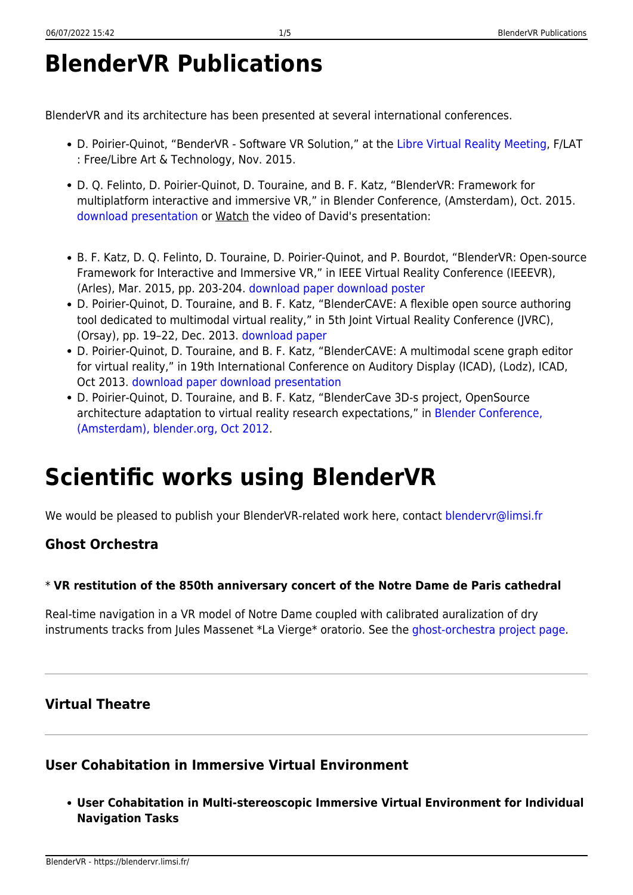# **BlenderVR Publications**

BlenderVR and its architecture has been presented at several international conferences.

- D. Poirier-Quinot, "BenderVR Software VR Solution," at the [Libre Virtual Reality Meeting](http://f-lat.org/kiwi/doku.php/tmp:lvrm), F/LAT : Free/Libre Art & Technology, Nov. 2015.
- D. Q. Felinto, D. Poirier-Quinot, D. Touraine, and B. F. Katz, "BlenderVR: Framework for multiplatform interactive and immersive VR," in Blender Conference, (Amsterdam), Oct. 2015. [download presentation](https://blendervr.limsi.fr/lib/exe/fetch.php?media=pub:blenderconf2015-blendervr-presentation.pdf) or Watch the video of David's presentation:
- B. F. Katz, D. Q. Felinto, D. Touraine, D. Poirier-Quinot, and P. Bourdot, "BlenderVR: Open-source Framework for Interactive and Immersive VR," in IEEE Virtual Reality Conference (IEEEVR), (Arles), Mar. 2015, pp. 203-204. [download paper](https://blendervr.limsi.fr/lib/exe/fetch.php?media=blendervr_ieeevr2015.pdf) [download poster](https://blendervr.limsi.fr/lib/exe/fetch.php?media=ieeevr2015-poster-reduced-v2.pdf)
- D. Poirier-Quinot, D. Touraine, and B. F. Katz, "BlenderCAVE: A flexible open source authoring tool dedicated to multimodal virtual reality," in 5th Joint Virtual Reality Conference (JVRC), (Orsay), pp. 19–22, Dec. 2013. [download paper](https://blendervr.limsi.fr/lib/exe/fetch.php?media=jvrc_2013_blendercave.pdf)
- D. Poirier-Quinot, D. Touraine, and B. F. Katz, "BlenderCAVE: A multimodal scene graph editor for virtual reality," in 19th International Conference on Auditory Display (ICAD), (Lodz), ICAD, Oct 2013. [download paper](https://blendervr.limsi.fr/lib/exe/fetch.php?media=29_s7-4_icad_poirier-quinot.pdf) [download presentation](https://blendervr.limsi.fr/lib/exe/fetch.php?media=presentationicad_blendercave.pdf)
- D. Poirier-Quinot, D. Touraine, and B. F. Katz, "BlenderCave 3D-s project, OpenSource architecture adaptation to virtual reality research expectations," in [Blender Conference,](http://archive.blender.org/community/blender-conference/blender-conference-2012/index.html) [\(Amsterdam\), blender.org, Oct 2012](http://archive.blender.org/community/blender-conference/blender-conference-2012/index.html).

# **Scientific works using BlenderVR**

We would be pleased to publish your BlenderVR-related work here, contact [blendervr@limsi.fr](mailto:blendervr@limsi.fr)

### **Ghost Orchestra**

#### \* **VR restitution of the 850th anniversary concert of the Notre Dame de Paris cathedral**

Real-time navigation in a VR model of Notre Dame coupled with calibrated auralization of dry instruments tracks from Jules Massenet \*La Vierge\* oratorio. See the [ghost-orchestra project page.](https://groupeaa.limsi.fr/projets:ghostorch)

### **Virtual Theatre**

### **User Cohabitation in Immersive Virtual Environment**

**User Cohabitation in Multi-stereoscopic Immersive Virtual Environment for Individual Navigation Tasks**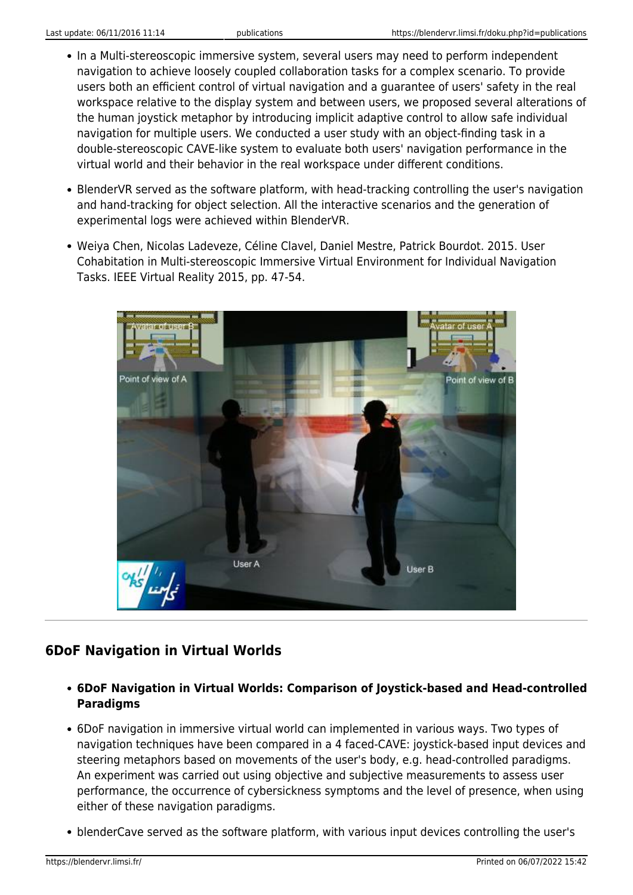- In a Multi-stereoscopic immersive system, several users may need to perform independent navigation to achieve loosely coupled collaboration tasks for a complex scenario. To provide users both an efficient control of virtual navigation and a guarantee of users' safety in the real workspace relative to the display system and between users, we proposed several alterations of the human joystick metaphor by introducing implicit adaptive control to allow safe individual navigation for multiple users. We conducted a user study with an object-finding task in a double-stereoscopic CAVE-like system to evaluate both users' navigation performance in the virtual world and their behavior in the real workspace under different conditions.
- BlenderVR served as the software platform, with head-tracking controlling the user's navigation and hand-tracking for object selection. All the interactive scenarios and the generation of experimental logs were achieved within BlenderVR.
- Weiya Chen, Nicolas Ladeveze, Céline Clavel, Daniel Mestre, Patrick Bourdot. 2015. User Cohabitation in Multi-stereoscopic Immersive Virtual Environment for Individual Navigation Tasks. IEEE Virtual Reality 2015, pp. 47-54.



### **6DoF Navigation in Virtual Worlds**

- **6DoF Navigation in Virtual Worlds: Comparison of Joystick-based and Head-controlled Paradigms**
- 6DoF navigation in immersive virtual world can implemented in various ways. Two types of navigation techniques have been compared in a 4 faced-CAVE: joystick-based input devices and steering metaphors based on movements of the user's body, e.g. head-controlled paradigms. An experiment was carried out using objective and subjective measurements to assess user performance, the occurrence of cybersickness symptoms and the level of presence, when using either of these navigation paradigms.
- blenderCave served as the software platform, with various input devices controlling the user's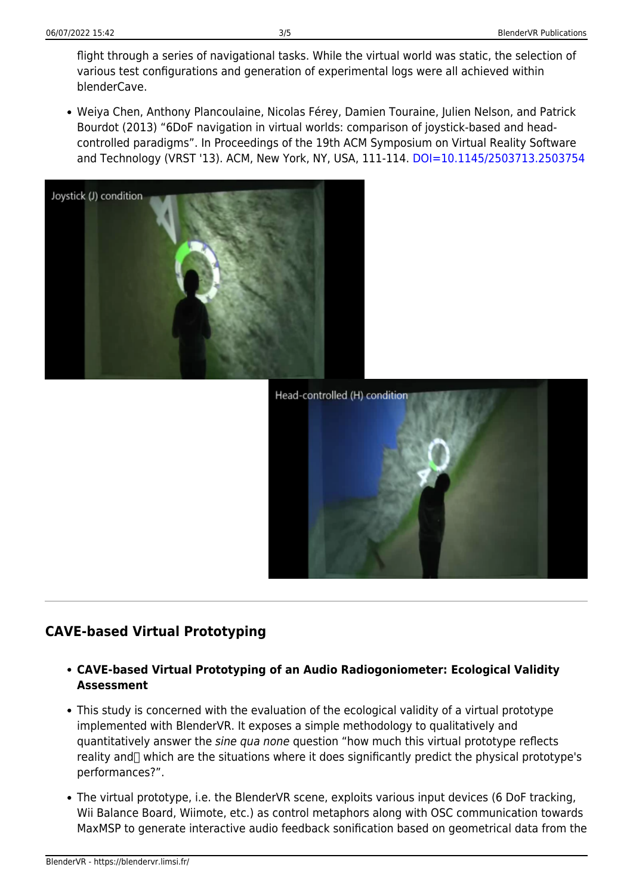flight through a series of navigational tasks. While the virtual world was static, the selection of various test configurations and generation of experimental logs were all achieved within blenderCave.

Weiya Chen, Anthony Plancoulaine, Nicolas Férey, Damien Touraine, Julien Nelson, and Patrick Bourdot (2013) "6DoF navigation in virtual worlds: comparison of joystick-based and headcontrolled paradigms". In Proceedings of the 19th ACM Symposium on Virtual Reality Software and Technology (VRST '13). ACM, New York, NY, USA, 111-114, [DOI=10.1145/2503713.2503754](http://doi.acm.org/10.1145/2503713.2503754)





## **CAVE-based Virtual Prototyping**

- **CAVE-based Virtual Prototyping of an Audio Radiogoniometer: Ecological Validity Assessment**
- This study is concerned with the evaluation of the ecological validity of a virtual prototype implemented with BlenderVR. It exposes a simple methodology to qualitatively and quantitatively answer the sine qua none question "how much this virtual prototype reflects reality and  $\Box$  which are the situations where it does significantly predict the physical prototype's performances?".
- The virtual prototype, i.e. the BlenderVR scene, exploits various input devices (6 DoF tracking, Wii Balance Board, Wiimote, etc.) as control metaphors along with OSC communication towards MaxMSP to generate interactive audio feedback sonification based on geometrical data from the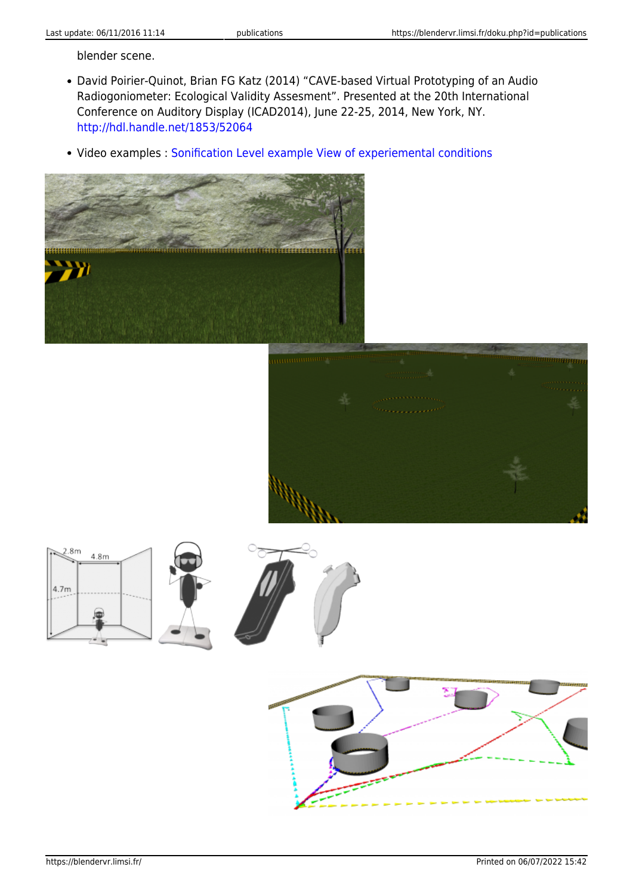blender scene.

- David Poirier-Quinot, Brian FG Katz (2014) "CAVE-based Virtual Prototyping of an Audio Radiogoniometer: Ecological Validity Assesment". Presented at the 20th International Conference on Auditory Display (ICAD2014), June 22-25, 2014, New York, NY. <http://hdl.handle.net/1853/52064>
- Video examples : [Sonification Level example](http://youtu.be/DvGXA7uFCw0) [View of experiemental conditions](http://youtu.be/Gu-9ufV8jno)